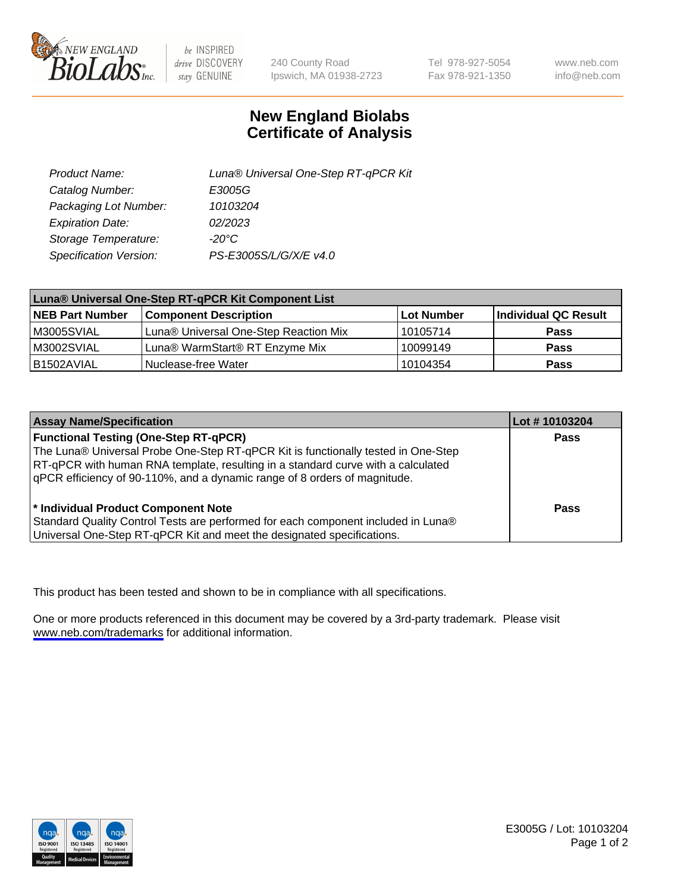

be INSPIRED drive DISCOVERY stay GENUINE

240 County Road Ipswich, MA 01938-2723 Tel 978-927-5054 Fax 978-921-1350

www.neb.com info@neb.com

## **New England Biolabs Certificate of Analysis**

| Product Name:           | Luna® Universal One-Step RT-qPCR Kit |
|-------------------------|--------------------------------------|
| Catalog Number:         | E3005G                               |
| Packaging Lot Number:   | 10103204                             |
| <b>Expiration Date:</b> | 02/2023                              |
| Storage Temperature:    | $-20^{\circ}$ C                      |
| Specification Version:  | PS-E3005S/L/G/X/E v4.0               |

| Luna® Universal One-Step RT-qPCR Kit Component List |                                       |            |                      |  |
|-----------------------------------------------------|---------------------------------------|------------|----------------------|--|
| <b>NEB Part Number</b>                              | <b>Component Description</b>          | Lot Number | Individual QC Result |  |
| M3005SVIAL                                          | Luna® Universal One-Step Reaction Mix | 10105714   | Pass                 |  |
| M3002SVIAL                                          | Luna® WarmStart® RT Enzyme Mix        | 10099149   | <b>Pass</b>          |  |
| B1502AVIAL                                          | Nuclease-free Water                   | 10104354   | <b>Pass</b>          |  |

| <b>Assay Name/Specification</b>                                                   | Lot # 10103204 |
|-----------------------------------------------------------------------------------|----------------|
| <b>Functional Testing (One-Step RT-qPCR)</b>                                      | <b>Pass</b>    |
| The Luna® Universal Probe One-Step RT-qPCR Kit is functionally tested in One-Step |                |
| RT-qPCR with human RNA template, resulting in a standard curve with a calculated  |                |
| qPCR efficiency of 90-110%, and a dynamic range of 8 orders of magnitude.         |                |
| <sup>*</sup> Individual Product Component Note                                    | Pass           |
| Standard Quality Control Tests are performed for each component included in Luna® |                |
| Universal One-Step RT-qPCR Kit and meet the designated specifications.            |                |

This product has been tested and shown to be in compliance with all specifications.

One or more products referenced in this document may be covered by a 3rd-party trademark. Please visit <www.neb.com/trademarks>for additional information.